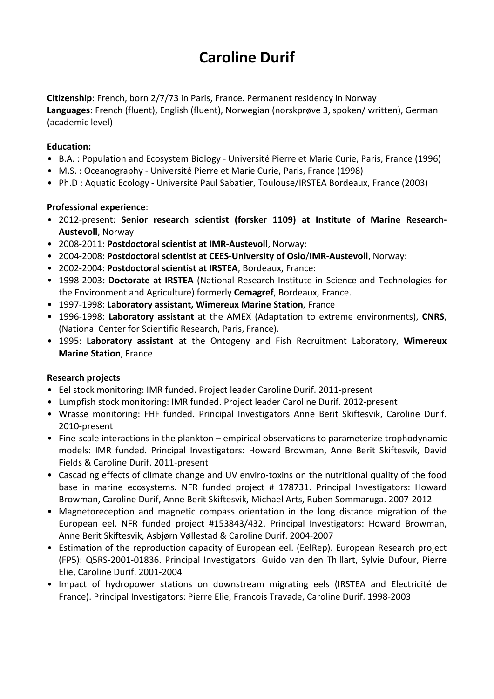# **Caroline Durif**

**Citizenship**: French, born 2/7/73 in Paris, France. Permanent residency in Norway **Languages**: French (fluent), English (fluent), Norwegian (norskprøve 3, spoken/ written), German (academic level)

## **Education:**

- B.A. : Population and Ecosystem Biology Université Pierre et Marie Curie, Paris, France (1996)
- M.S. : Oceanography Université Pierre et Marie Curie, Paris, France (1998)
- Ph.D : Aquatic Ecology Université Paul Sabatier, Toulouse/IRSTEA Bordeaux, France (2003)

### **Professional experience**:

- 2012-present: **Senior research scientist (forsker 1109) at Institute of Marine Research-Austevoll**, Norway
- 2008-2011: **Postdoctoral scientist at IMR-Austevoll**, Norway:
- 2004-2008: **Postdoctoral scientist at CEES**-**University of Oslo**/**IMR-Austevoll**, Norway:
- 2002-2004: **Postdoctoral scientist at IRSTEA**, Bordeaux, France:
- 1998-2003**: Doctorate at IRSTEA** (National Research Institute in Science and Technologies for the Environment and Agriculture) formerly **Cemagref**, Bordeaux, France.
- 1997-1998: **Laboratory assistant, Wimereux Marine Station**, France
- 1996-1998: **Laboratory assistant** at the AMEX (Adaptation to extreme environments), **CNRS**, (National Center for Scientific Research, Paris, France).
- 1995: **Laboratory assistant** at the Ontogeny and Fish Recruitment Laboratory, **Wimereux Marine Station**, France

## **Research projects**

- Eel stock monitoring: IMR funded. Project leader Caroline Durif. 2011-present
- Lumpfish stock monitoring: IMR funded. Project leader Caroline Durif. 2012-present
- Wrasse monitoring: FHF funded. Principal Investigators Anne Berit Skiftesvik, Caroline Durif. 2010-present
- Fine-scale interactions in the plankton empirical observations to parameterize trophodynamic models: IMR funded. Principal Investigators: Howard Browman, Anne Berit Skiftesvik, David Fields & Caroline Durif. 2011-present
- Cascading effects of climate change and UV enviro-toxins on the nutritional quality of the food base in marine ecosystems. NFR funded project # 178731. Principal Investigators: Howard Browman, Caroline Durif, Anne Berit Skiftesvik, Michael Arts, Ruben Sommaruga. 2007-2012
- Magnetoreception and magnetic compass orientation in the long distance migration of the European eel. NFR funded project #153843/432. Principal Investigators: Howard Browman, Anne Berit Skiftesvik, Asbjørn Vøllestad & Caroline Durif. 2004-2007
- Estimation of the reproduction capacity of European eel. (EelRep). European Research project (FP5): Q5RS-2001-01836. Principal Investigators: Guido van den Thillart, Sylvie Dufour, Pierre Elie, Caroline Durif. 2001-2004
- Impact of hydropower stations on downstream migrating eels (IRSTEA and Electricité de France). Principal Investigators: Pierre Elie, Francois Travade, Caroline Durif. 1998-2003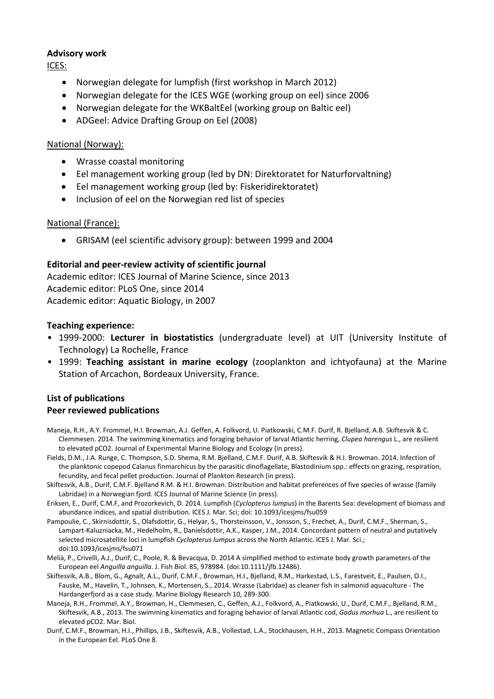## **Advisory work**

ICES:

- Norwegian delegate for lumpfish (first workshop in March 2012)
- Norwegian delegate for the ICES WGE (working group on eel) since 2006
- Norwegian delegate for the WKBaltEel (working group on Baltic eel)
- ADGeel: Advice Drafting Group on Eel (2008)

### National (Norway):

- Wrasse coastal monitoring
- Eel management working group (led by DN: Direktoratet for Naturforvaltning)
- Eel management working group (led by: Fiskeridirektoratet)
- Inclusion of eel on the Norwegian red list of species

### National (France):

• GRISAM (eel scientific advisory group): between 1999 and 2004

### **Editorial and peer-review activity of scientific journal**

Academic editor: ICES Journal of Marine Science, since 2013 Academic editor: PLoS One, since 2014 Academic editor: Aquatic Biology, in 2007

### **Teaching experience:**

- 1999-2000: **Lecturer in biostatistics** (undergraduate level) at UIT (University Institute of Technology) La Rochelle, France
- 1999: **Teaching assistant in marine ecology** (zooplankton and ichtyofauna) at the Marine Station of Arcachon, Bordeaux University, France.

## **List of publications**

## **Peer reviewed publications**

- Maneja, R.H., A.Y. Frommel, H.I. Browman, A.J. Geffen, A. Folkvord, U. Piatkowski, C.M.F. Durif, R. Bjelland, A.B. Skiftesvik & C. Clemmesen. 2014. The swimming kinematics and foraging behavior of larval Atlantic herring, *Clupea harengus* L., are resilient to elevated pCO2. Journal of Experimental Marine Biology and Ecology (in press).
- Fields, D.M., J.A. Runge, C. Thompson, S.D. Shema, R.M. Bjelland, C.M.F. Durif, A.B. Skiftesvik & H.I. Browman. 2014. Infection of the planktonic copepod Calanus finmarchicus by the parasitic dinoflagellate, Blastodinium spp.: effects on grazing, respiration, fecundity, and fecal pellet production. Journal of Plankton Research (in press).
- Skiftesvik, A.B., Durif, C.M.F. Bjelland R.M. & H.I. Browman. Distribution and habitat preferences of five species of wrasse (family Labridae) in a Norwegian fjord. ICES Journal of Marine Science (in press).
- Eriksen, E., Durif, C.M.F, and Prozorkevich, D. 2014. Lumpfish (*Cyclopterus lumpus*) in the Barents Sea: development of biomass and abundance indices, and spatial distribution. ICES J. Mar. Sci; doi: 10.1093/icesjms/fsu059
- Pampoulie, C., Skirnisdottir, S., Olafsdottir, G., Helyar, S., Thorsteinsson, V., Jonsson, S., Frechet, A., Durif, C.M.F., Sherman, S., Lampart-Kaluzniacka, M., Hedelholm, R., Danielsdottir, A.K., Kasper, J.M., 2014. Concordant pattern of neutral and putatively selected microsatellite loci in lumpfish *Cyclopterus lumpus* across the North Atlantic. ICES J. Mar. Sci.; doi:10.1093/icesjms/fsu071
- Melià, P., Crivelli, A.J., Durif, C., Poole, R. & Bevacqua, D. 2014 A simplified method to estimate body growth parameters of the European eel *Anguilla anguilla*. J. Fish Biol. 85, 978984. (doi:10.1111/jfb.12486).
- Skiftesvik, A.B., Blom, G., Agnalt, A.L., Durif, C.M.F., Browman, H.I., Bjelland, R.M., Harkestad, L.S., Farestveit, E., Paulsen, O.I., Fauske, M., Havelin, T., Johnsen, K., Mortensen, S., 2014. Wrasse (Labridae) as cleaner fish in salmonid aquaculture - The Hardangerfjord as a case study. Marine Biology Research 10, 289-300.
- Maneja, R.H., Frommel, A.Y., Browman, H., Clemmesen, C., Geffen, A.J., Folkvord, A., Piatkowski, U., Durif, C.M.F., Bjelland, R.M., Skiftesvik, A.B., 2013. The swimming kinematics and foraging behavior of larval Atlantic cod, *Gadus morhua* L., are resilient to elevated pCO2. Mar. Biol.
- Durif, C.M.F., Browman, H.I., Phillips, J.B., Skiftesvik, A.B., Vollestad, L.A., Stockhausen, H.H., 2013. Magnetic Compass Orientation in the European Eel. PLoS One 8.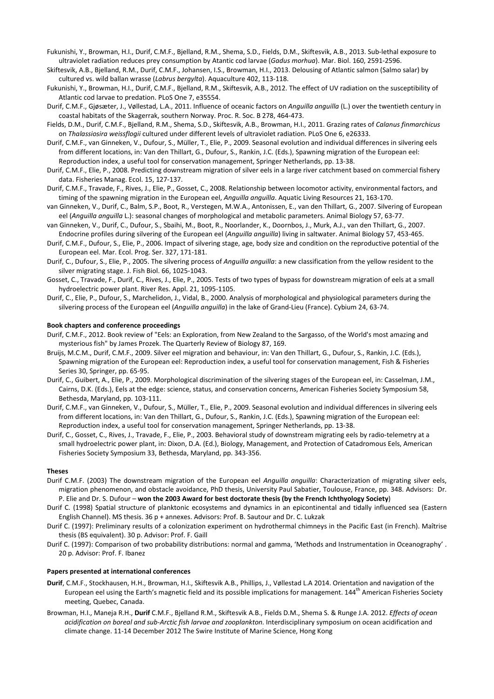- Fukunishi, Y., Browman, H.I., Durif, C.M.F., Bjelland, R.M., Shema, S.D., Fields, D.M., Skiftesvik, A.B., 2013. Sub-lethal exposure to ultraviolet radiation reduces prey consumption by Atantic cod larvae (*Gadus morhua*). Mar. Biol. 160, 2591-2596.
- Skiftesvik, A.B., Bjelland, R.M., Durif, C.M.F., Johansen, I.S., Browman, H.I., 2013. Delousing of Atlantic salmon (Salmo salar) by cultured vs. wild ballan wrasse (*Labrus bergylta*). Aquaculture 402, 113-118.
- Fukunishi, Y., Browman, H.I., Durif, C.M.F., Bjelland, R.M., Skiftesvik, A.B., 2012. The effect of UV radiation on the susceptibility of Atlantic cod larvae to predation. PLoS One 7, e35554.
- Durif, C.M.F., Gjøsæter, J., Vøllestad, L.A., 2011. Influence of oceanic factors on *Anguilla anguilla* (L.) over the twentieth century in coastal habitats of the Skagerrak, southern Norway. Proc. R. Soc. B 278, 464-473.
- Fields, D.M., Durif, C.M.F., Bjelland, R.M., Shema, S.D., Skiftesvik, A.B., Browman, H.I., 2011. Grazing rates of *Calanus finmarchicus* on *Thalassiosira weissflogii* cultured under different levels of ultraviolet radiation. PLoS One 6, e26333.
- Durif, C.M.F., van Ginneken, V., Dufour, S., Müller, T., Elie, P., 2009. Seasonal evolution and individual differences in silvering eels from different locations, in: Van den Thillart, G., Dufour, S., Rankin, J.C. (Eds.), Spawning migration of the European eel: Reproduction index, a useful tool for conservation management, Springer Netherlands, pp. 13-38.
- Durif, C.M.F., Elie, P., 2008. Predicting downstream migration of silver eels in a large river catchment based on commercial fishery data. Fisheries Manag. Ecol. 15, 127-137.
- Durif, C.M.F., Travade, F., Rives, J., Elie, P., Gosset, C., 2008. Relationship between locomotor activity, environmental factors, and timing of the spawning migration in the European eel, *Anguilla anguilla*. Aquatic Living Resources 21, 163-170.
- van Ginneken, V., Durif, C., Balm, S.P., Boot, R., Verstegen, M.W.A., Antonissen, E., van den Thillart, G., 2007. Silvering of European eel (*Anguilla anguilla* L.): seasonal changes of morphological and metabolic parameters. Animal Biology 57, 63-77.
- van Ginneken, V., Durif, C., Dufour, S., Sbaihi, M., Boot, R., Noorlander, K., Doornbos, J., Murk, A.J., van den Thillart, G., 2007. Endocrine profiles during silvering of the European eel (*Anguilla anguilla*) living in saltwater. Animal Biology 57, 453-465.
- Durif, C.M.F., Dufour, S., Elie, P., 2006. Impact of silvering stage, age, body size and condition on the reproductive potential of the European eel. Mar. Ecol. Prog. Ser. 327, 171-181.
- Durif, C., Dufour, S., Elie, P., 2005. The silvering process of *Anguilla anguilla*: a new classification from the yellow resident to the silver migrating stage. J. Fish Biol. 66, 1025-1043.
- Gosset, C., Travade, F., Durif, C., Rives, J., Elie, P., 2005. Tests of two types of bypass for downstream migration of eels at a small hydroelectric power plant. River Res. Appl. 21, 1095-1105.
- Durif, C., Elie, P., Dufour, S., Marchelidon, J., Vidal, B., 2000. Analysis of morphological and physiological parameters during the silvering process of the European eel (*Anguilla anguilla*) in the lake of Grand-Lieu (France). Cybium 24, 63-74.

#### **Book chapters and conference proceedings**

- Durif, C.M.F., 2012. Book review of "Eels: an Exploration, from New Zealand to the Sargasso, of the World's most amazing and mysterious fish" by James Prozek. The Quarterly Review of Biology 87, 169.
- Bruijs, M.C.M., Durif, C.M.F., 2009. Silver eel migration and behaviour, in: Van den Thillart, G., Dufour, S., Rankin, J.C. (Eds.), Spawning migration of the European eel: Reproduction index, a useful tool for conservation management, Fish & Fisheries Series 30, Springer, pp. 65-95.
- Durif, C., Guibert, A., Elie, P., 2009. Morphological discrimination of the silvering stages of the European eel, in: Casselman, J.M., Cairns, D.K. (Eds.), Eels at the edge: science, status, and conservation concerns, American Fisheries Society Symposium 58, Bethesda, Maryland, pp. 103-111.
- Durif, C.M.F., van Ginneken, V., Dufour, S., Müller, T., Elie, P., 2009. Seasonal evolution and individual differences in silvering eels from different locations, in: Van den Thillart, G., Dufour, S., Rankin, J.C. (Eds.), Spawning migration of the European eel: Reproduction index, a useful tool for conservation management, Springer Netherlands, pp. 13-38.
- Durif, C., Gosset, C., Rives, J., Travade, F., Elie, P., 2003. Behavioral study of downstream migrating eels by radio-telemetry at a small hydroelectric power plant, in: Dixon, D.A. (Ed.), Biology, Management, and Protection of Catadromous Eels, American Fisheries Society Symposium 33, Bethesda, Maryland, pp. 343-356.

#### **Theses**

- Durif C.M.F. (2003) The downstream migration of the European eel Anguilla anguilla: Characterization of migrating silver eels, migration phenomenon, and obstacle avoidance, PhD thesis, University Paul Sabatier, Toulouse, France, pp. 348. Advisors: Dr. P. Elie and Dr. S. Dufour – **won the 2003 Award for best doctorate thesis (by the French Ichthyology Society**)
- Durif C. (1998) Spatial structure of planktonic ecosystems and dynamics in an epicontinental and tidally influenced sea (Eastern English Channel). MS thesis. 36 p + annexes. Advisors: Prof. B. Sautour and Dr. C. Lukzak
- Durif C. (1997): Preliminary results of a colonization experiment on hydrothermal chimneys in the Pacific East (in French). Maîtrise thesis (BS equivalent). 30 p. Advisor: Prof. F. Gaill
- Durif C. (1997): Comparison of two probability distributions: normal and gamma, 'Methods and Instrumentation in Oceanography' . 20 p. Advisor: Prof. F. Ibanez

#### **Papers presented at international conferences**

- **Durif**, C.M.F., Stockhausen, H.H., Browman, H.I., Skiftesvik A.B., Phillips, J., Vøllestad L.A 2014. Orientation and navigation of the European eel using the Earth's magnetic field and its possible implications for management. 144<sup>th</sup> American Fisheries Society meeting, Quebec, Canada.
- Browman, H.I., Maneja R.H., **Durif** C.M.F., Bjelland R.M., Skiftesvik A.B., Fields D.M., Shema S. & Runge J.A. 2012. *Effects of ocean acidification on boreal and sub-Arctic fish larvae and zooplankton.* Interdisciplinary symposium on ocean acidification and climate change. 11-14 December 2012 The Swire Institute of Marine Science, Hong Kong